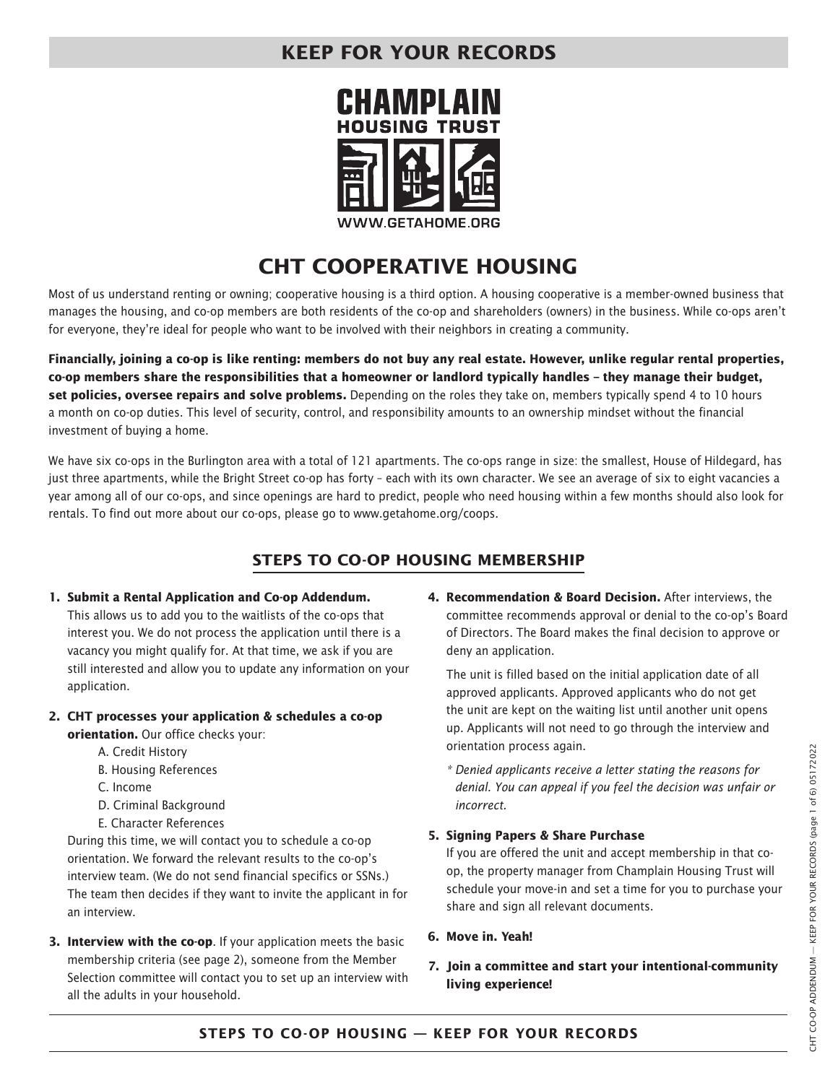

# **CHT COOPERATIVE HOUSING**

Most of us understand renting or owning; cooperative housing is a third option. A housing cooperative is a member-owned business that manages the housing, and co-op members are both residents of the co-op and shareholders (owners) in the business. While co-ops aren't for everyone, they're ideal for people who want to be involved with their neighbors in creating a community.

**Financially, joining a co-op is like renting: members do not buy any real estate. However, unlike regular rental properties, co-op members share the responsibilities that a homeowner or landlord typically handles – they manage their budget, set policies, oversee repairs and solve problems.** Depending on the roles they take on, members typically spend 4 to 10 hours a month on co-op duties. This level of security, control, and responsibility amounts to an ownership mindset without the financial investment of buying a home.

We have six co-ops in the Burlington area with a total of 121 apartments. The co-ops range in size: the smallest, House of Hildegard, has just three apartments, while the Bright Street co-op has forty – each with its own character. We see an average of six to eight vacancies a year among all of our co-ops, and since openings are hard to predict, people who need housing within a few months should also look for rentals. To find out more about our co-ops, please go to www.getahome.org/coops.

### **STEPS TO CO-OP HOUSING MEMBERSHIP**

#### **1. Submit a Rental Application and Co-op Addendum.**

This allows us to add you to the waitlists of the co-ops that interest you. We do not process the application until there is a vacancy you might qualify for. At that time, we ask if you are still interested and allow you to update any information on your application.

- **2. CHT processes your application & schedules a co-op orientation.** Our office checks your:
	- A. Credit History
	- B. Housing References
	- C. Income
	- D. Criminal Background
	- E. Character References

During this time, we will contact you to schedule a co-op orientation. We forward the relevant results to the co-op's interview team. (We do not send financial specifics or SSNs.) The team then decides if they want to invite the applicant in for an interview.

**3. Interview with the co-op**. If your application meets the basic membership criteria (see page 2), someone from the Member Selection committee will contact you to set up an interview with all the adults in your household.

**4. Recommendation & Board Decision.** After interviews, the committee recommends approval or denial to the co-op's Board of Directors. The Board makes the final decision to approve or deny an application.

The unit is filled based on the initial application date of all approved applicants. Approved applicants who do not get the unit are kept on the waiting list until another unit opens up. Applicants will not need to go through the interview and orientation process again.

*\* Denied applicants receive a letter stating the reasons for denial. You can appeal if you feel the decision was unfair or incorrect.* 

### **5. Signing Papers & Share Purchase**

If you are offered the unit and accept membership in that coop, the property manager from Champlain Housing Trust will schedule your move-in and set a time for you to purchase your share and sign all relevant documents.

### **6. Move in. Yeah!**

**7. Join a committee and start your intentional-community living experience!**

### **STEPS TO CO-OP HOUSING — KEEP FOR YOUR RECORDS**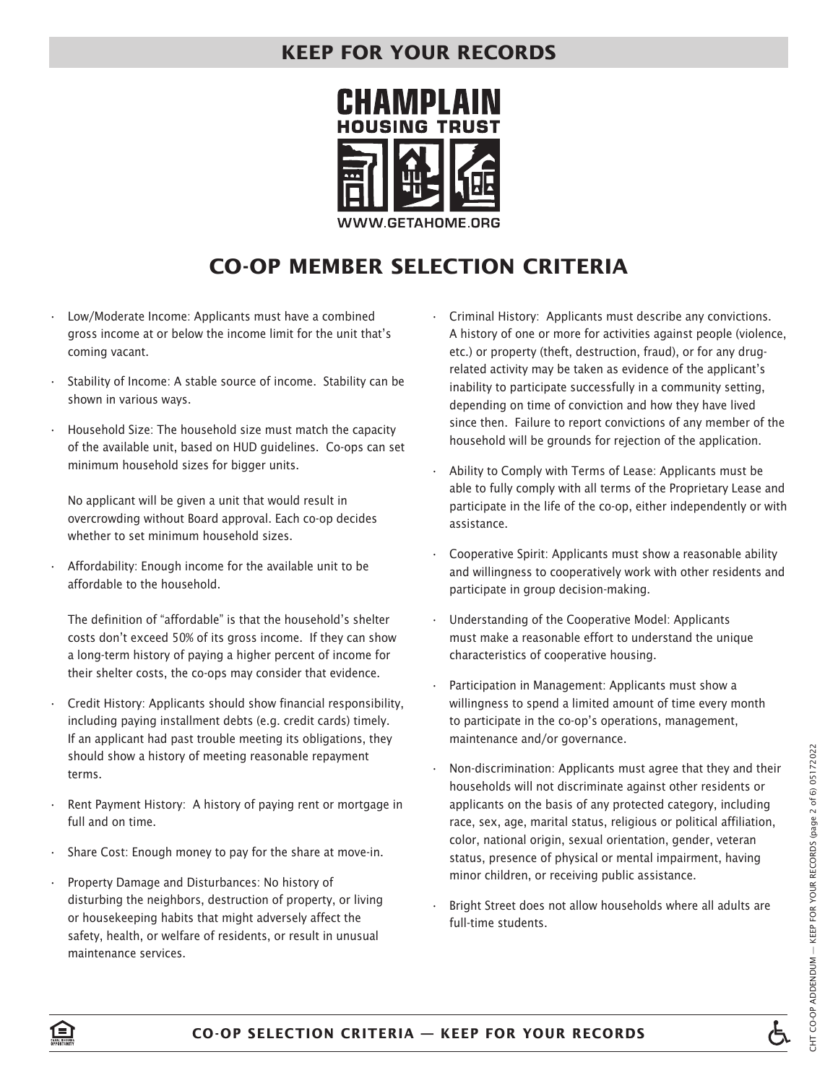

# **CO-OP MEMBER SELECTION CRITERIA**

- Low/Moderate Income: Applicants must have a combined gross income at or below the income limit for the unit that's coming vacant.
- Stability of Income: A stable source of income. Stability can be shown in various ways.
- Household Size: The household size must match the capacity of the available unit, based on HUD guidelines. Co-ops can set minimum household sizes for bigger units.

No applicant will be given a unit that would result in overcrowding without Board approval. Each co-op decides whether to set minimum household sizes.

• Affordability: Enough income for the available unit to be affordable to the household.

The definition of "affordable" is that the household's shelter costs don't exceed 50% of its gross income. If they can show a long-term history of paying a higher percent of income for their shelter costs, the co-ops may consider that evidence.

- Credit History: Applicants should show financial responsibility, including paying installment debts (e.g. credit cards) timely. If an applicant had past trouble meeting its obligations, they should show a history of meeting reasonable repayment terms.
- Rent Payment History: A history of paying rent or mortgage in full and on time.
- Share Cost: Enough money to pay for the share at move-in.
- Property Damage and Disturbances: No history of disturbing the neighbors, destruction of property, or living or housekeeping habits that might adversely affect the safety, health, or welfare of residents, or result in unusual maintenance services.
- Criminal History: Applicants must describe any convictions. A history of one or more for activities against people (violence, etc.) or property (theft, destruction, fraud), or for any drugrelated activity may be taken as evidence of the applicant's inability to participate successfully in a community setting, depending on time of conviction and how they have lived since then. Failure to report convictions of any member of the household will be grounds for rejection of the application.
- Ability to Comply with Terms of Lease: Applicants must be able to fully comply with all terms of the Proprietary Lease and participate in the life of the co-op, either independently or with assistance.
- Cooperative Spirit: Applicants must show a reasonable ability and willingness to cooperatively work with other residents and participate in group decision-making.
- Understanding of the Cooperative Model: Applicants must make a reasonable effort to understand the unique characteristics of cooperative housing.
- Participation in Management: Applicants must show a willingness to spend a limited amount of time every month to participate in the co-op's operations, management, maintenance and/or governance.
- Non-discrimination: Applicants must agree that they and their households will not discriminate against other residents or applicants on the basis of any protected category, including race, sex, age, marital status, religious or political affiliation, color, national origin, sexual orientation, gender, veteran status, presence of physical or mental impairment, having minor children, or receiving public assistance.
- Bright Street does not allow households where all adults are full-time students.

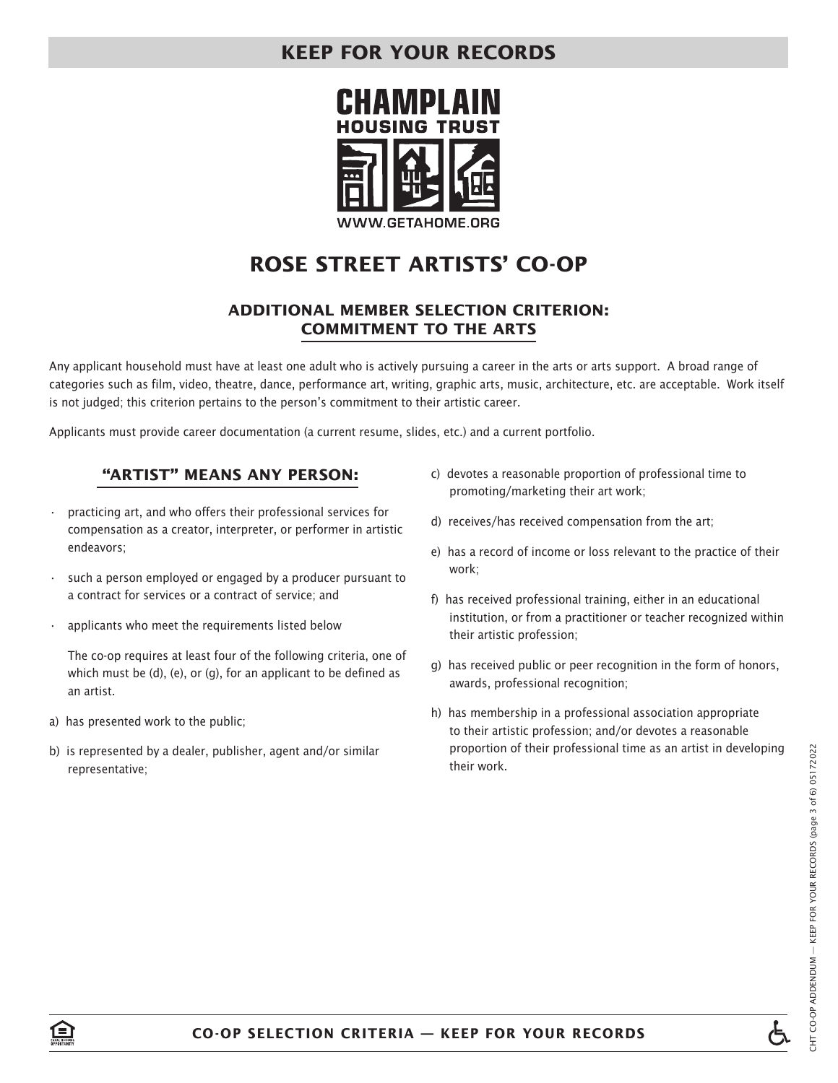

# **ROSE STREET ARTISTS' CO-OP**

### **ADDITIONAL MEMBER SELECTION CRITERION: COMMITMENT TO THE ARTS**

Any applicant household must have at least one adult who is actively pursuing a career in the arts or arts support. A broad range of categories such as film, video, theatre, dance, performance art, writing, graphic arts, music, architecture, etc. are acceptable. Work itself is not judged; this criterion pertains to the person's commitment to their artistic career.

Applicants must provide career documentation (a current resume, slides, etc.) and a current portfolio.

### **"ARTIST" MEANS ANY PERSON:**

- practicing art, and who offers their professional services for compensation as a creator, interpreter, or performer in artistic endeavors;
- such a person employed or engaged by a producer pursuant to a contract for services or a contract of service; and
- applicants who meet the requirements listed below

The co-op requires at least four of the following criteria, one of which must be (d), (e), or (g), for an applicant to be defined as an artist.

- a) has presented work to the public;
- b) is represented by a dealer, publisher, agent and/or similar representative;
- c) devotes a reasonable proportion of professional time to promoting/marketing their art work;
- d) receives/has received compensation from the art;
- e) has a record of income or loss relevant to the practice of their work;
- f) has received professional training, either in an educational institution, or from a practitioner or teacher recognized within their artistic profession;
- g) has received public or peer recognition in the form of honors, awards, professional recognition;
- h) has membership in a professional association appropriate to their artistic profession; and/or devotes a reasonable proportion of their professional time as an artist in developing their work.

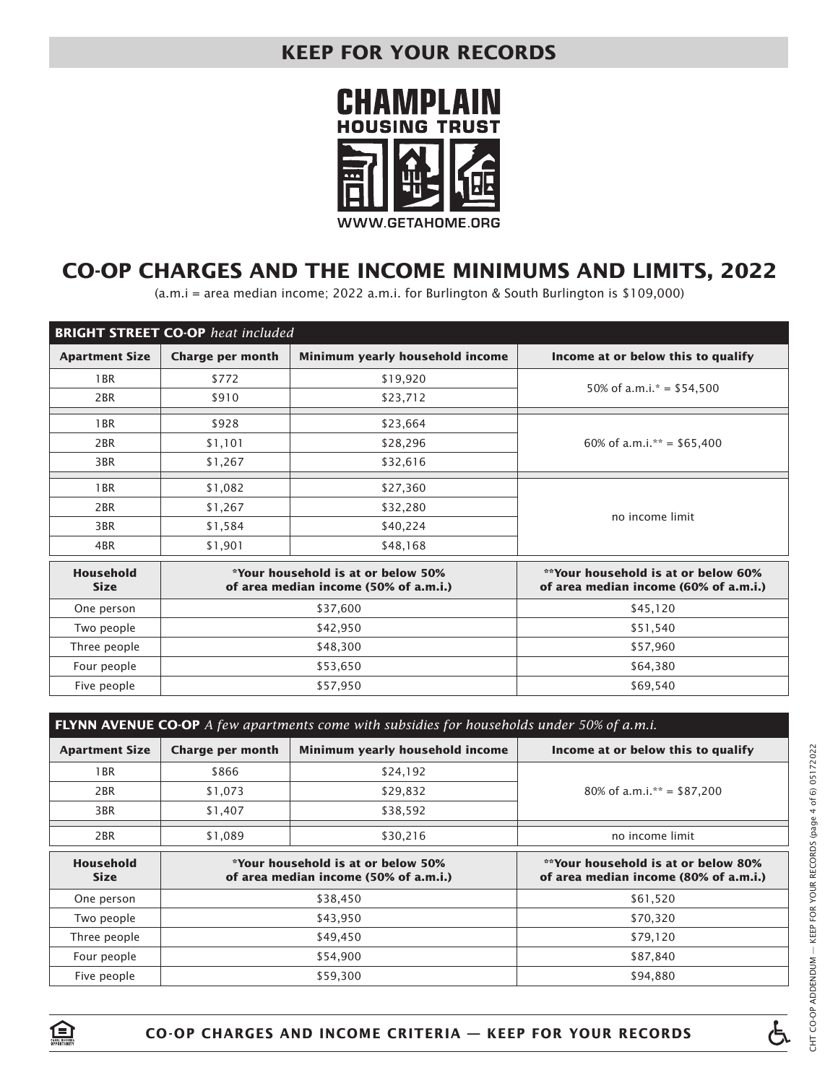

# **CO-OP CHARGES AND THE INCOME MINIMUMS AND LIMITS, 2022**

(a.m.i = area median income; 2022 a.m.i. for Burlington & South Burlington is \$109,000)

|                                 | <b>BRIGHT STREET CO-OP</b> heat included |                                                                                    |                                                                              |
|---------------------------------|------------------------------------------|------------------------------------------------------------------------------------|------------------------------------------------------------------------------|
| <b>Apartment Size</b>           | <b>Charge per month</b>                  | Minimum yearly household income                                                    | Income at or below this to qualify                                           |
| 1 <sub>BR</sub>                 | \$772                                    | \$19,920                                                                           | 50% of a.m.i. $* = $54,500$                                                  |
| 2 <sub>BR</sub>                 | \$910                                    | \$23,712                                                                           |                                                                              |
| 1 <sub>BR</sub>                 | \$928                                    | \$23,664                                                                           |                                                                              |
| 2 <sub>BR</sub>                 | \$1,101                                  | \$28,296                                                                           | 60% of a.m.i.** = $$65,400$                                                  |
| 3BR                             | \$1,267                                  | \$32,616                                                                           |                                                                              |
| 1 <sub>BR</sub>                 | \$1,082                                  | \$27,360                                                                           |                                                                              |
| 2 <sub>BR</sub>                 | \$1,267                                  | \$32,280                                                                           | no income limit                                                              |
| 3BR                             | \$1,584                                  | \$40,224                                                                           |                                                                              |
| 4BR                             | \$1,901                                  | \$48,168                                                                           |                                                                              |
| <b>Household</b><br><b>Size</b> |                                          | <i>*Your household is at or below 50%</i><br>of area median income (50% of a.m.i.) | **Your household is at or below 60%<br>of area median income (60% of a.m.i.) |
| One person                      |                                          | \$37,600                                                                           | \$45,120                                                                     |
| Two people                      | \$42,950                                 |                                                                                    | \$51,540                                                                     |
| Three people                    | \$48,300                                 |                                                                                    | \$57,960                                                                     |
| Four people                     | \$53,650                                 |                                                                                    | \$64,380                                                                     |
| Five people                     | \$57,950                                 |                                                                                    | \$69,540                                                                     |

| <b>FLYNN AVENUE CO-OP</b> $\overline{A}$ few apartments come with subsidies for households under 50% of a.m.i. |                                                                                                  |                                                                                           |                                                                                     |  |
|----------------------------------------------------------------------------------------------------------------|--------------------------------------------------------------------------------------------------|-------------------------------------------------------------------------------------------|-------------------------------------------------------------------------------------|--|
| <b>Apartment Size</b>                                                                                          | <b>Charge per month</b><br>Minimum yearly household income<br>Income at or below this to qualify |                                                                                           |                                                                                     |  |
| 1 <sub>BR</sub>                                                                                                | \$866                                                                                            | \$24,192                                                                                  |                                                                                     |  |
| 2BR                                                                                                            | \$1,073                                                                                          | \$29,832                                                                                  | 80% of a.m.i.** = $$87,200$                                                         |  |
| 3BR                                                                                                            | \$1,407                                                                                          | \$38,592                                                                                  |                                                                                     |  |
| 2BR                                                                                                            | \$1,089                                                                                          | \$30,216                                                                                  | no income limit                                                                     |  |
| <b>Household</b><br><b>Size</b>                                                                                |                                                                                                  | <i><b>*Your household is at or below 50%</b></i><br>of area median income (50% of a.m.i.) | <b>**Your household is at or below 80%</b><br>of area median income (80% of a.m.i.) |  |
| One person                                                                                                     |                                                                                                  | \$38,450                                                                                  | \$61,520                                                                            |  |
| Two people                                                                                                     | \$43,950                                                                                         |                                                                                           | \$70,320                                                                            |  |
| Three people                                                                                                   | \$49,450                                                                                         |                                                                                           | \$79,120                                                                            |  |
| Four people                                                                                                    | \$54,900                                                                                         |                                                                                           | \$87,840                                                                            |  |
| Five people                                                                                                    | \$59,300                                                                                         |                                                                                           | \$94,880                                                                            |  |

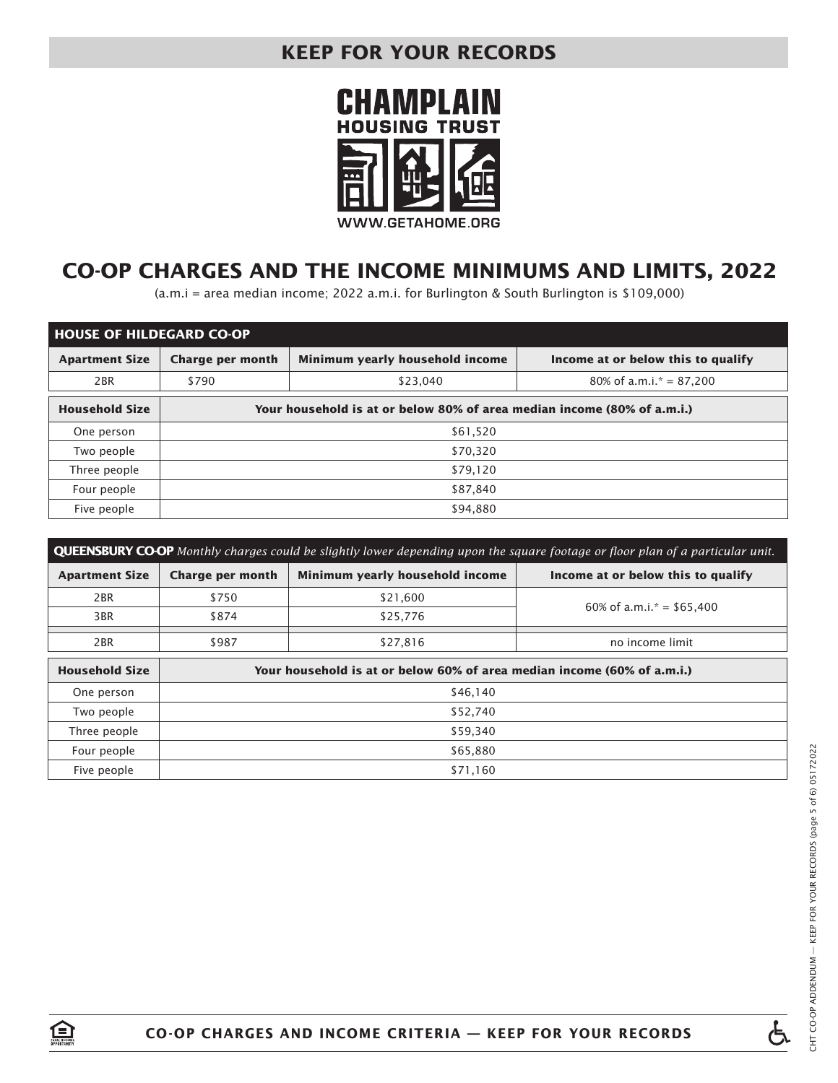

# **CO-OP CHARGES AND THE INCOME MINIMUMS AND LIMITS, 2022**

(a.m.i = area median income; 2022 a.m.i. for Burlington & South Burlington is \$109,000)

| <b>HOUSE OF HILDEGARD CO-OP</b> |                         |                                                                         |  |  |  |  |
|---------------------------------|-------------------------|-------------------------------------------------------------------------|--|--|--|--|
| <b>Apartment Size</b>           | <b>Charge per month</b> | Minimum yearly household income<br>Income at or below this to qualify   |  |  |  |  |
| 2BR                             | \$790                   | $80\%$ of a.m.i. $* = 87,200$<br>\$23,040                               |  |  |  |  |
| <b>Household Size</b>           |                         | Your household is at or below 80% of area median income (80% of a.m.i.) |  |  |  |  |
| One person                      | \$61,520                |                                                                         |  |  |  |  |
| Two people                      | \$70.320                |                                                                         |  |  |  |  |
| Three people                    | \$79,120                |                                                                         |  |  |  |  |
| Four people                     | \$87,840                |                                                                         |  |  |  |  |
| Five people                     | \$94,880                |                                                                         |  |  |  |  |

| <b>QUEENSBURY CO-OP</b> Monthly charges could be slightly lower depending upon the square footage or floor plan of a particular unit. |                                                                         |                                                                       |                             |  |  |  |
|---------------------------------------------------------------------------------------------------------------------------------------|-------------------------------------------------------------------------|-----------------------------------------------------------------------|-----------------------------|--|--|--|
| <b>Apartment Size</b>                                                                                                                 | <b>Charge per month</b>                                                 | Minimum yearly household income<br>Income at or below this to qualify |                             |  |  |  |
| 2 <sub>BR</sub>                                                                                                                       | \$750                                                                   | \$21,600                                                              | 60% of a.m.i. $* = $65,400$ |  |  |  |
| 3BR                                                                                                                                   | \$874                                                                   | \$25,776                                                              |                             |  |  |  |
| 2 <sub>BR</sub>                                                                                                                       | \$987                                                                   | \$27,816<br>no income limit                                           |                             |  |  |  |
| <b>Household Size</b>                                                                                                                 | Your household is at or below 60% of area median income (60% of a.m.i.) |                                                                       |                             |  |  |  |
| One person                                                                                                                            |                                                                         | \$46,140                                                              |                             |  |  |  |
| Two people                                                                                                                            | \$52,740                                                                |                                                                       |                             |  |  |  |
| Three people                                                                                                                          | \$59,340                                                                |                                                                       |                             |  |  |  |
| Four people                                                                                                                           | \$65,880                                                                |                                                                       |                             |  |  |  |
| Five people                                                                                                                           | \$71,160                                                                |                                                                       |                             |  |  |  |

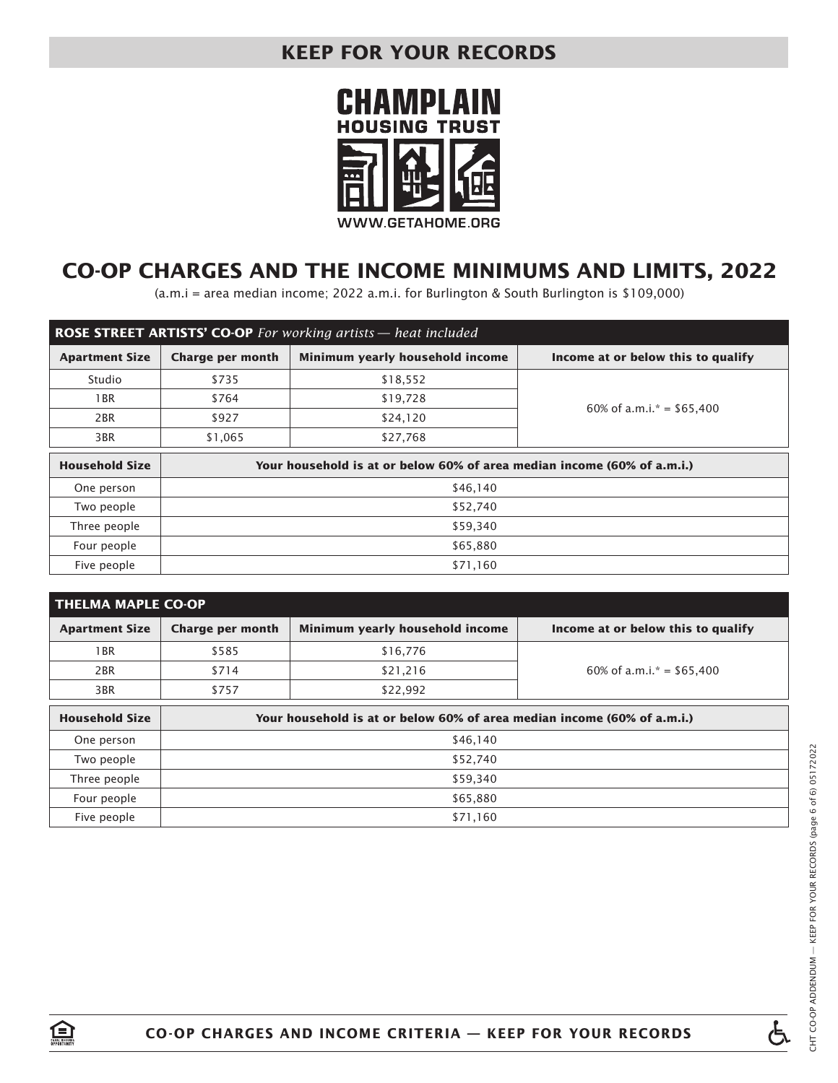

# **CO-OP CHARGES AND THE INCOME MINIMUMS AND LIMITS, 2022**

(a.m.i = area median income; 2022 a.m.i. for Burlington & South Burlington is \$109,000)

| <b>ROSE STREET ARTISTS' CO-OP</b> For working artists — heat included |                                                                         |                                                                       |                             |  |  |  |  |
|-----------------------------------------------------------------------|-------------------------------------------------------------------------|-----------------------------------------------------------------------|-----------------------------|--|--|--|--|
| <b>Apartment Size</b>                                                 | <b>Charge per month</b>                                                 | Minimum yearly household income<br>Income at or below this to qualify |                             |  |  |  |  |
| Studio                                                                | \$735                                                                   | \$18,552                                                              |                             |  |  |  |  |
| 1 BR                                                                  | \$764                                                                   | \$19,728                                                              | 60% of a.m.i. $* = $65,400$ |  |  |  |  |
| 2BR                                                                   | \$927                                                                   | \$24,120                                                              |                             |  |  |  |  |
| 3BR                                                                   | \$1,065                                                                 | \$27,768                                                              |                             |  |  |  |  |
| <b>Household Size</b>                                                 | Your household is at or below 60% of area median income (60% of a.m.i.) |                                                                       |                             |  |  |  |  |
| One person                                                            |                                                                         | \$46,140                                                              |                             |  |  |  |  |
| Two people                                                            |                                                                         | \$52,740                                                              |                             |  |  |  |  |
| Three people                                                          | \$59,340                                                                |                                                                       |                             |  |  |  |  |
| Four people                                                           | \$65,880                                                                |                                                                       |                             |  |  |  |  |
| Five people                                                           | \$71,160                                                                |                                                                       |                             |  |  |  |  |

| <b>THELMA MAPLE CO-OP</b> |                         |                                                                         |                                    |
|---------------------------|-------------------------|-------------------------------------------------------------------------|------------------------------------|
| <b>Apartment Size</b>     | <b>Charge per month</b> | Minimum yearly household income                                         | Income at or below this to qualify |
| 1 BR                      | \$585                   | \$16,776                                                                |                                    |
| 2 <sub>BR</sub>           | \$714                   | \$21,216                                                                | 60% of a.m.i. $* = $65,400$        |
| 3BR                       | \$757                   | \$22,992                                                                |                                    |
| <b>Household Size</b>     |                         | Your household is at or below 60% of area median income (60% of a.m.i.) |                                    |
| One person                |                         | \$46,140                                                                |                                    |
| Two people                |                         | \$52,740                                                                |                                    |
| Three people              |                         | \$59,340                                                                |                                    |
| Four people               | \$65,880                |                                                                         |                                    |
| Five people               | \$71,160                |                                                                         |                                    |



盒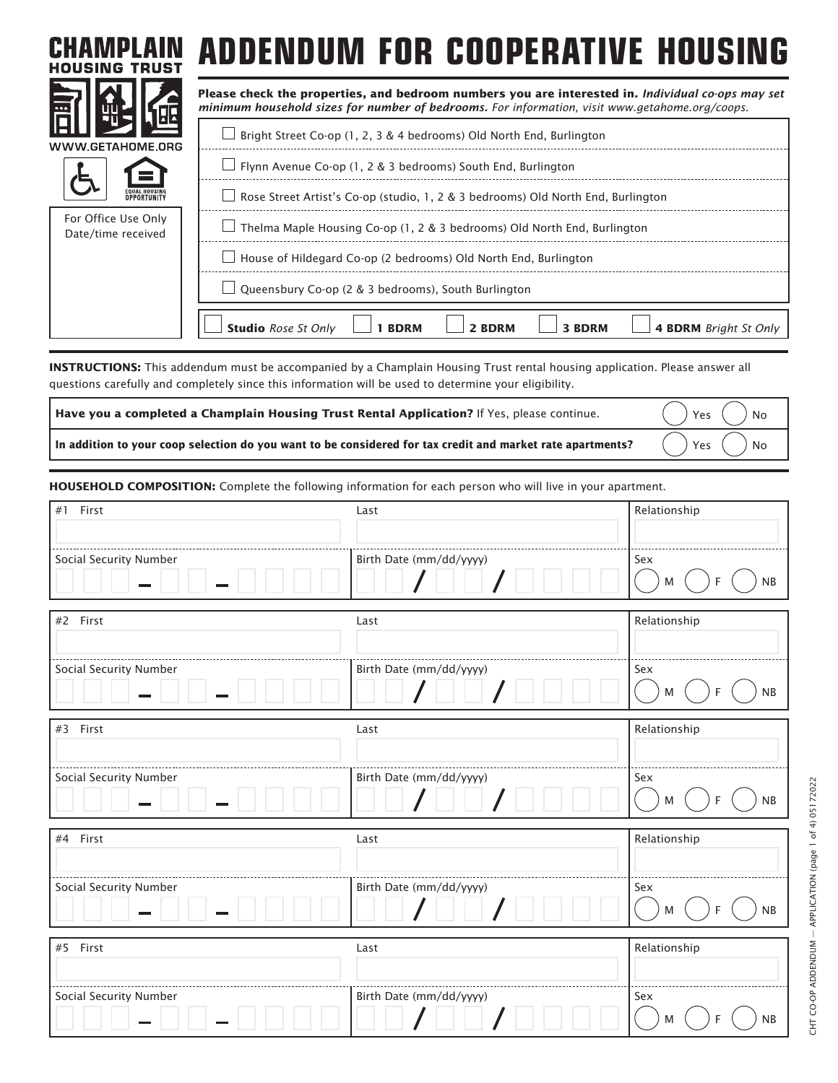| <b>HOUSING TRUST</b>                      | ADDENDUM FOR COOPERATIVE HOUSING                                                                                                                                                                    |
|-------------------------------------------|-----------------------------------------------------------------------------------------------------------------------------------------------------------------------------------------------------|
|                                           | Please check the properties, and bedroom numbers you are interested in. Individual co-ops may set<br>minimum household sizes for number of bedrooms. For information, visit www.getahome.org/coops. |
| WWW.GETAHOME.ORG                          | Bright Street Co-op (1, 2, 3 & 4 bedrooms) Old North End, Burlington                                                                                                                                |
|                                           | $\Box$ Flynn Avenue Co-op (1, 2 & 3 bedrooms) South End, Burlington                                                                                                                                 |
|                                           | Rose Street Artist's Co-op (studio, 1, 2 & 3 bedrooms) Old North End, Burlington                                                                                                                    |
| For Office Use Only<br>Date/time received | Thelma Maple Housing Co-op (1, 2 & 3 bedrooms) Old North End, Burlington                                                                                                                            |
|                                           | House of Hildegard Co-op (2 bedrooms) Old North End, Burlington                                                                                                                                     |
|                                           | Queensbury Co-op (2 & 3 bedrooms), South Burlington                                                                                                                                                 |
|                                           | <b>Studio</b> Rose St Only<br>3 BDRM<br><b>4 BDRM</b> Bright St Only<br>2 BDRM<br><b>BDRM</b>                                                                                                       |

**INSTRUCTIONS:** This addendum must be accompanied by a Champlain Housing Trust rental housing application. Please answer all questions carefully and completely since this information will be used to determine your eligibility.

| Have you a completed a Champlain Housing Trust Rental Application? If Yes, please continue.                                                                                                                                                                         | $\bigcap$ Yes $\bigcap$ No $\bigcap$ |
|---------------------------------------------------------------------------------------------------------------------------------------------------------------------------------------------------------------------------------------------------------------------|--------------------------------------|
| In addition to your coop selection do you want to be considered for tax credit and market rate apartments? $\qquad$ $\qquad$ $\qquad$ $\qquad$ $\qquad$ $\qquad$ $\qquad$ $\qquad$ $\qquad$ $\qquad$ $\qquad$ $\qquad$ $\qquad$ $\qquad$ $\qquad$ $\qquad$ $\qquad$ |                                      |

**HOUSEHOLD COMPOSITION:** Complete the following information for each person who will live in your apartment.

| #1 First               | Last                    | Relationship                |
|------------------------|-------------------------|-----------------------------|
|                        |                         |                             |
| Social Security Number | Birth Date (mm/dd/yyyy) | Sex<br>NB<br>F<br>M         |
| #2 First               | Last                    | Relationship                |
| Social Security Number | Birth Date (mm/dd/yyyy) | Sex<br>${\sf NB}$<br>M<br>F |
| #3 First               | Last                    | Relationship                |
| Social Security Number | Birth Date (mm/dd/yyyy) | Sex<br>NB<br>M<br>F         |
| #4 First               | Last                    | Relationship                |
| Social Security Number | Birth Date (mm/dd/yyyy) | Sex<br>NB<br>F<br>M         |
| #5 First               | Last                    | Relationship                |
| Social Security Number | Birth Date (mm/dd/yyyy) | Sex<br>NB<br>F<br>M         |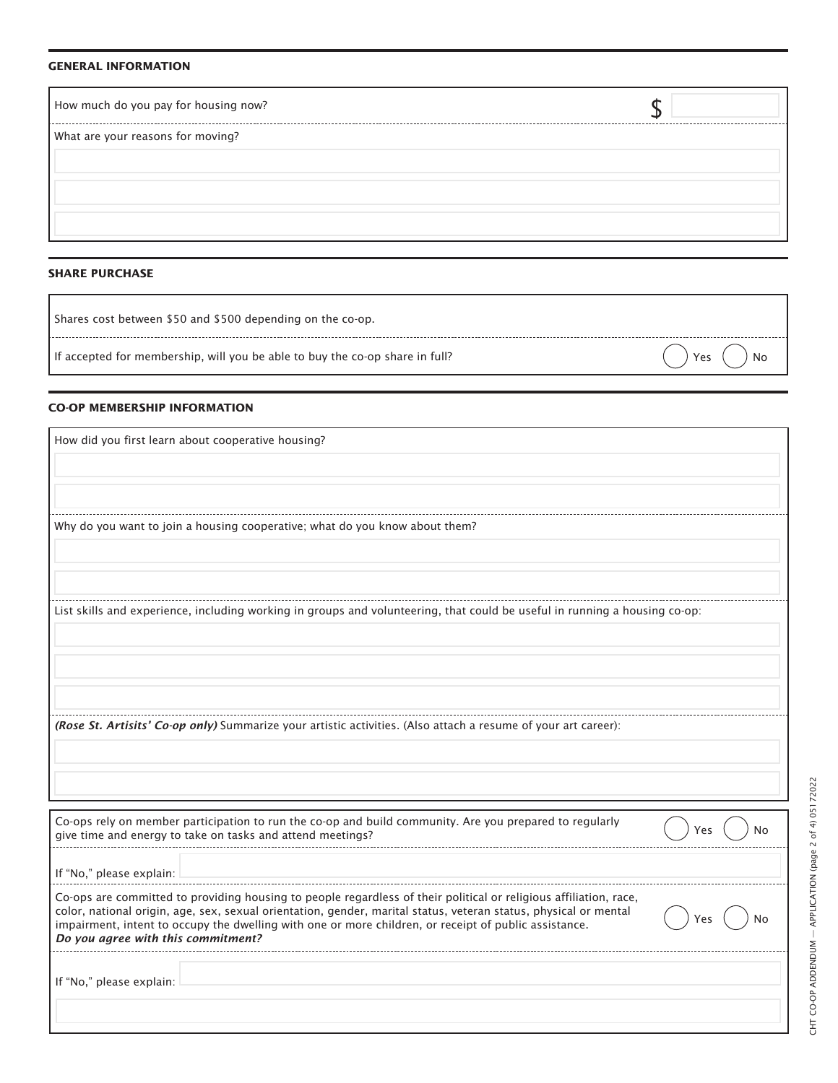#### **GENERAL INFORMATION**

| How much do you pay for housing now? |  |
|--------------------------------------|--|
| What are your reasons for moving?    |  |
|                                      |  |
|                                      |  |
|                                      |  |
|                                      |  |

#### **SHARE PURCHASE**

| Shares cost between \$50 and \$500 depending on the co-op. |  |  |
|------------------------------------------------------------|--|--|
|                                                            |  |  |

If accepted for membership, will you be able to buy the co-op share in full?  $($   $)$  Yes  $($   $)$  Yes  $($   $)$  No

#### **CO-OP MEMBERSHIP INFORMATION**

| How did you first learn about cooperative housing?                                                                                                                                 |
|------------------------------------------------------------------------------------------------------------------------------------------------------------------------------------|
|                                                                                                                                                                                    |
|                                                                                                                                                                                    |
|                                                                                                                                                                                    |
| Why do you want to join a housing cooperative; what do you know about them?                                                                                                        |
|                                                                                                                                                                                    |
|                                                                                                                                                                                    |
|                                                                                                                                                                                    |
| List skills and experience, including working in groups and volunteering, that could be useful in running a housing co-op:                                                         |
|                                                                                                                                                                                    |
|                                                                                                                                                                                    |
|                                                                                                                                                                                    |
|                                                                                                                                                                                    |
| (Rose St. Artisits' Co-op only) Summarize your artistic activities. (Also attach a resume of your art career):                                                                     |
|                                                                                                                                                                                    |
|                                                                                                                                                                                    |
|                                                                                                                                                                                    |
| Co-ops rely on member participation to run the co-op and build community. Are you prepared to regularly<br>N٥<br>Yes<br>give time and energy to take on tasks and attend meetings? |
| If "No." please explain:                                                                                                                                                           |

| if No. please explain.                                                                                                                                                                                                                                                                                                                                                               |           |
|--------------------------------------------------------------------------------------------------------------------------------------------------------------------------------------------------------------------------------------------------------------------------------------------------------------------------------------------------------------------------------------|-----------|
| Co-ops are committed to providing housing to people regardless of their political or religious affiliation, race,<br>color, national origin, age, sex, sexual orientation, gender, marital status, veteran status, physical or mental<br>impairment, intent to occupy the dwelling with one or more children, or receipt of public assistance.<br>Do you agree with this commitment? | )Yes( )No |
| If "No," please explain:                                                                                                                                                                                                                                                                                                                                                             |           |

. . . . . . . . . .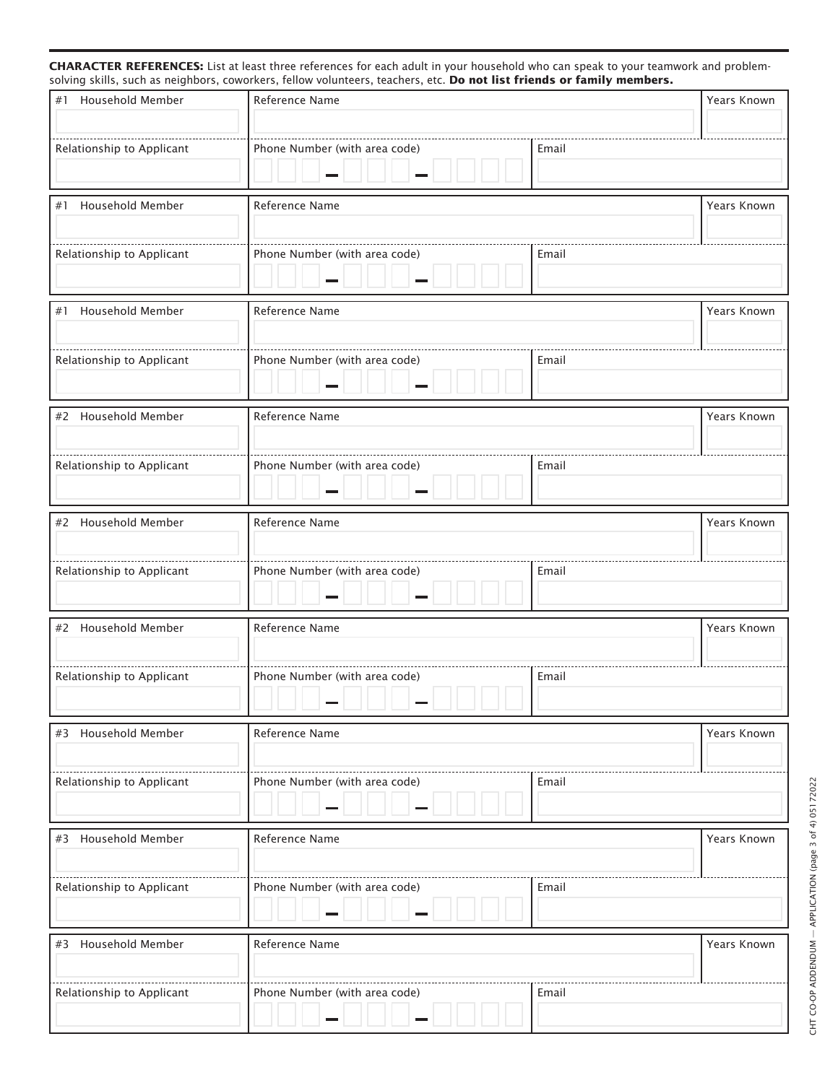#### **CHARACTER REFERENCES:** List at least three references for each adult in your household who can speak to your teamwork and problemsolving skills, such as neighbors, coworkers, fellow volunteers, teachers, etc. **Do not list friends or family members.**

| #1 Household Member                                             | Reference Name                                                 |       | Years Known |
|-----------------------------------------------------------------|----------------------------------------------------------------|-------|-------------|
| Relationship to Applicant                                       | _____________________________<br>Phone Number (with area code) | Email |             |
|                                                                 |                                                                |       |             |
| Household Member<br>#1                                          | Reference Name                                                 |       | Years Known |
| Relationship to Applicant                                       | Phone Number (with area code)                                  | Email |             |
| #1 Household Member                                             | Reference Name                                                 |       | Years Known |
| Relationship to Applicant                                       | Phone Number (with area code)                                  | Email |             |
| #2 Household Member                                             | Reference Name                                                 |       | Years Known |
| ------------------------------<br>Relationship to Applicant     | Phone Number (with area code)                                  | Email |             |
| #2 Household Member                                             | Reference Name                                                 |       | Years Known |
| ----------------------------------<br>Relationship to Applicant | Phone Number (with area code)                                  | Email |             |
| #2 Household Member                                             | Reference Name                                                 |       | Years Known |
| Relationship to Applicant                                       | Phone Number (with area code)<br>$\overline{\phantom{a}}$      | Email |             |
| #3 Household Member                                             | Reference Name                                                 |       | Years Known |
| Relationship to Applicant                                       | Phone Number (with area code)                                  | Email |             |
| #3 Household Member                                             | Reference Name                                                 |       | Years Known |
| Relationship to Applicant                                       | Phone Number (with area code)                                  | Email |             |
| #3 Household Member                                             | Reference Name                                                 |       | Years Known |
| Relationship to Applicant                                       | Phone Number (with area code)                                  | Email |             |